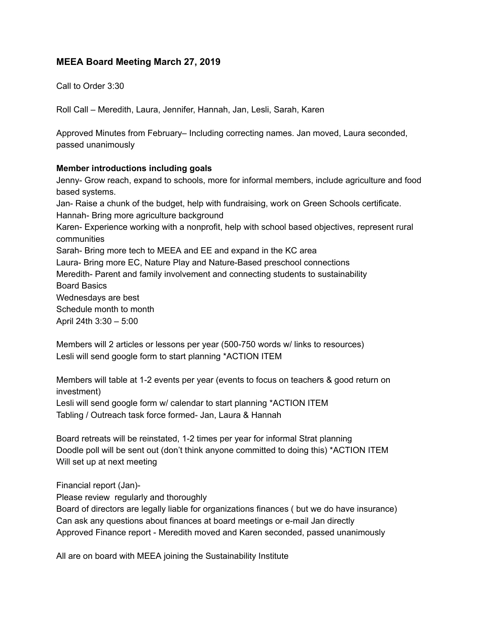## **MEEA Board Meeting March 27, 2019**

Call to Order 3:30

Roll Call – Meredith, Laura, Jennifer, Hannah, Jan, Lesli, Sarah, Karen

Approved Minutes from February– Including correcting names. Jan moved, Laura seconded, passed unanimously

## **Member introductions including goals**

Jenny- Grow reach, expand to schools, more for informal members, include agriculture and food based systems. Jan- Raise a chunk of the budget, help with fundraising, work on Green Schools certificate. Hannah- Bring more agriculture background Karen- Experience working with a nonprofit, help with school based objectives, represent rural communities Sarah- Bring more tech to MEEA and EE and expand in the KC area Laura- Bring more EC, Nature Play and Nature-Based preschool connections Meredith- Parent and family involvement and connecting students to sustainability Board Basics Wednesdays are best Schedule month to month April 24th 3:30 – 5:00

Members will 2 articles or lessons per year (500-750 words w/ links to resources) Lesli will send google form to start planning \*ACTION ITEM

Members will table at 1-2 events per year (events to focus on teachers & good return on investment) Lesli will send google form w/ calendar to start planning \*ACTION ITEM Tabling / Outreach task force formed- Jan, Laura & Hannah

Board retreats will be reinstated, 1-2 times per year for informal Strat planning Doodle poll will be sent out (don't think anyone committed to doing this) \*ACTION ITEM Will set up at next meeting

Financial report (Jan)-

Please review regularly and thoroughly

Board of directors are legally liable for organizations finances ( but we do have insurance) Can ask any questions about finances at board meetings or e-mail Jan directly Approved Finance report - Meredith moved and Karen seconded, passed unanimously

All are on board with MEEA joining the Sustainability Institute